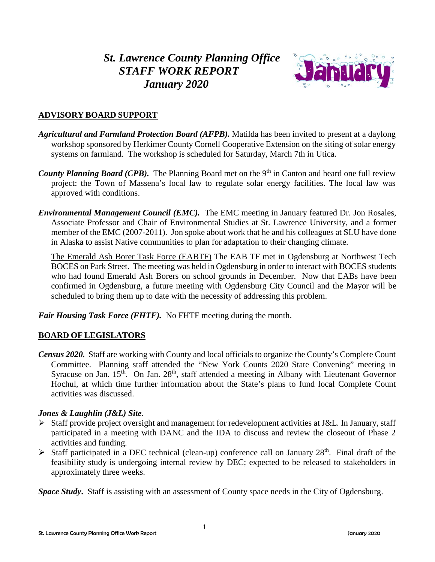# *St. Lawrence County Planning Office STAFF WORK REPORT January 2020*



# **ADVISORY BOARD SUPPORT**

- *Agricultural and Farmland Protection Board (AFPB).* Matilda has been invited to present at a daylong workshop sponsored by Herkimer County Cornell Cooperative Extension on the siting of solar energy systems on farmland. The workshop is scheduled for Saturday, March 7th in Utica.
- *County Planning Board (CPB).* The Planning Board met on the 9<sup>th</sup> in Canton and heard one full review project: the Town of Massena's local law to regulate solar energy facilities. The local law was approved with conditions.
- *Environmental Management Council (EMC).* The EMC meeting in January featured Dr. Jon Rosales, Associate Professor and Chair of Environmental Studies at St. Lawrence University, and a former member of the EMC (2007-2011). Jon spoke about work that he and his colleagues at SLU have done in Alaska to assist Native communities to plan for adaptation to their changing climate.

The Emerald Ash Borer Task Force (EABTF) The EAB TF met in Ogdensburg at Northwest Tech BOCES on Park Street. The meeting was held in Ogdensburg in order to interact with BOCES students who had found Emerald Ash Borers on school grounds in December. Now that EABs have been confirmed in Ogdensburg, a future meeting with Ogdensburg City Council and the Mayor will be scheduled to bring them up to date with the necessity of addressing this problem.

*Fair Housing Task Force (FHTF).* No FHTF meeting during the month.

# **BOARD OF LEGISLATORS**

*Census 2020.* Staff are working with County and local officials to organize the County's Complete Count Committee. Planning staff attended the "New York Counts 2020 State Convening" meeting in Syracuse on Jan.  $15<sup>th</sup>$ . On Jan.  $28<sup>th</sup>$ , staff attended a meeting in Albany with Lieutenant Governor Hochul, at which time further information about the State's plans to fund local Complete Count activities was discussed.

# *Jones & Laughlin (J&L) Site*.

- Staff provide project oversight and management for redevelopment activities at J&L. In January, staff participated in a meeting with DANC and the IDA to discuss and review the closeout of Phase 2 activities and funding.
- $\triangleright$  Staff participated in a DEC technical (clean-up) conference call on January 28<sup>th</sup>. Final draft of the feasibility study is undergoing internal review by DEC; expected to be released to stakeholders in approximately three weeks.

*Space Study***.** Staff is assisting with an assessment of County space needs in the City of Ogdensburg.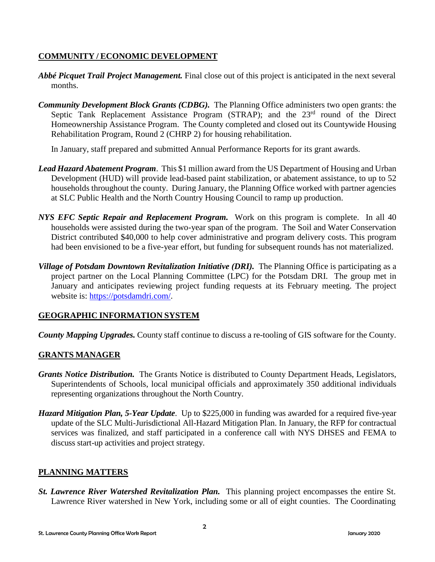# **COMMUNITY / ECONOMIC DEVELOPMENT**

- *Abbé Picquet Trail Project Management.* Final close out of this project is anticipated in the next several months.
- *Community Development Block Grants (CDBG).* The Planning Office administers two open grants: the Septic Tank Replacement Assistance Program (STRAP); and the 23<sup>rd</sup> round of the Direct Homeownership Assistance Program. The County completed and closed out its Countywide Housing Rehabilitation Program, Round 2 (CHRP 2) for housing rehabilitation.

In January, staff prepared and submitted Annual Performance Reports for its grant awards.

- *Lead Hazard Abatement Program*. This \$1 million award from the US Department of Housing and Urban Development (HUD) will provide lead-based paint stabilization, or abatement assistance, to up to 52 households throughout the county. During January, the Planning Office worked with partner agencies at SLC Public Health and the North Country Housing Council to ramp up production.
- *NYS EFC Septic Repair and Replacement Program.*Work on this program is complete. In all 40 households were assisted during the two-year span of the program. The Soil and Water Conservation District contributed \$40,000 to help cover administrative and program delivery costs. This program had been envisioned to be a five-year effort, but funding for subsequent rounds has not materialized.
- *Village of Potsdam Downtown Revitalization Initiative (DRI).* The Planning Office is participating as a project partner on the Local Planning Committee (LPC) for the Potsdam DRI. The group met in January and anticipates reviewing project funding requests at its February meeting. The project website is: [https://potsdamdri.com/.](https://potsdamdri.com/)

# **GEOGRAPHIC INFORMATION SYSTEM**

*County Mapping Upgrades.* County staff continue to discuss a re-tooling of GIS software for the County.

# **GRANTS MANAGER**

- *Grants Notice Distribution.* The Grants Notice is distributed to County Department Heads, Legislators, Superintendents of Schools, local municipal officials and approximately 350 additional individuals representing organizations throughout the North Country.
- *Hazard Mitigation Plan, 5-Year Update*. Up to \$225,000 in funding was awarded for a required five-year update of the SLC Multi-Jurisdictional All-Hazard Mitigation Plan. In January, the RFP for contractual services was finalized, and staff participated in a conference call with NYS DHSES and FEMA to discuss start-up activities and project strategy.

# **PLANNING MATTERS**

*St. Lawrence River Watershed Revitalization Plan.* This planning project encompasses the entire St. Lawrence River watershed in New York, including some or all of eight counties. The Coordinating